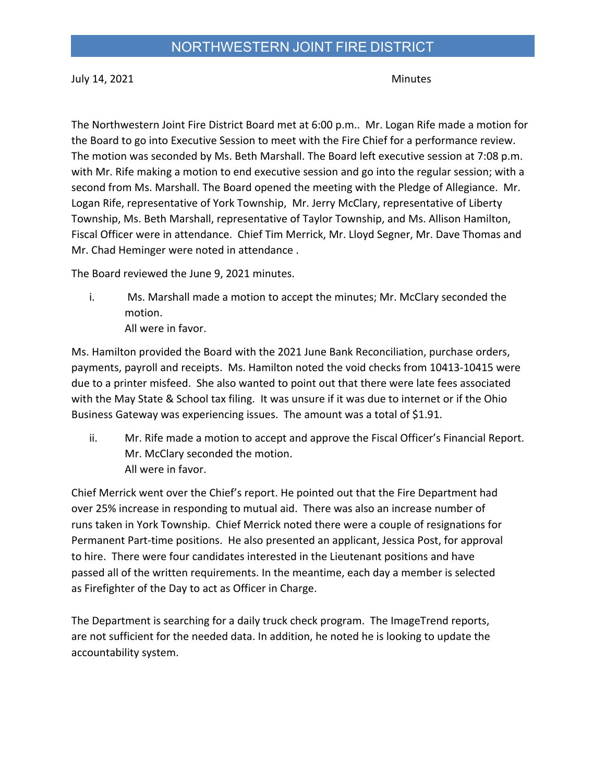July 14, 2021 **Minutes** 

The Northwestern Joint Fire District Board met at 6:00 p.m.. Mr. Logan Rife made a motion for the Board to go into Executive Session to meet with the Fire Chief for a performance review. The motion was seconded by Ms. Beth Marshall. The Board left executive session at 7:08 p.m. with Mr. Rife making a motion to end executive session and go into the regular session; with a second from Ms. Marshall. The Board opened the meeting with the Pledge of Allegiance. Mr. Logan Rife, representative of York Township, Mr. Jerry McClary, representative of Liberty Township, Ms. Beth Marshall, representative of Taylor Township, and Ms. Allison Hamilton, Fiscal Officer were in attendance. Chief Tim Merrick, Mr. Lloyd Segner, Mr. Dave Thomas and Mr. Chad Heminger were noted in attendance .

The Board reviewed the June 9, 2021 minutes.

i. Ms. Marshall made a motion to accept the minutes; Mr. McClary seconded the motion. All were in favor.

Ms. Hamilton provided the Board with the 2021 June Bank Reconciliation, purchase orders, payments, payroll and receipts. Ms. Hamilton noted the void checks from 10413-10415 were due to a printer misfeed. She also wanted to point out that there were late fees associated with the May State & School tax filing. It was unsure if it was due to internet or if the Ohio

Business Gateway was experiencing issues. The amount was a total of \$1.91.

ii. Mr. Rife made a motion to accept and approve the Fiscal Officer's Financial Report. Mr. McClary seconded the motion. All were in favor.

Chief Merrick went over the Chief's report. He pointed out that the Fire Department had over 25% increase in responding to mutual aid. There was also an increase number of runs taken in York Township. Chief Merrick noted there were a couple of resignations for Permanent Part-time positions. He also presented an applicant, Jessica Post, for approval to hire. There were four candidates interested in the Lieutenant positions and have passed all of the written requirements. In the meantime, each day a member is selected as Firefighter of the Day to act as Officer in Charge.

The Department is searching for a daily truck check program. The ImageTrend reports, are not sufficient for the needed data. In addition, he noted he is looking to update the accountability system.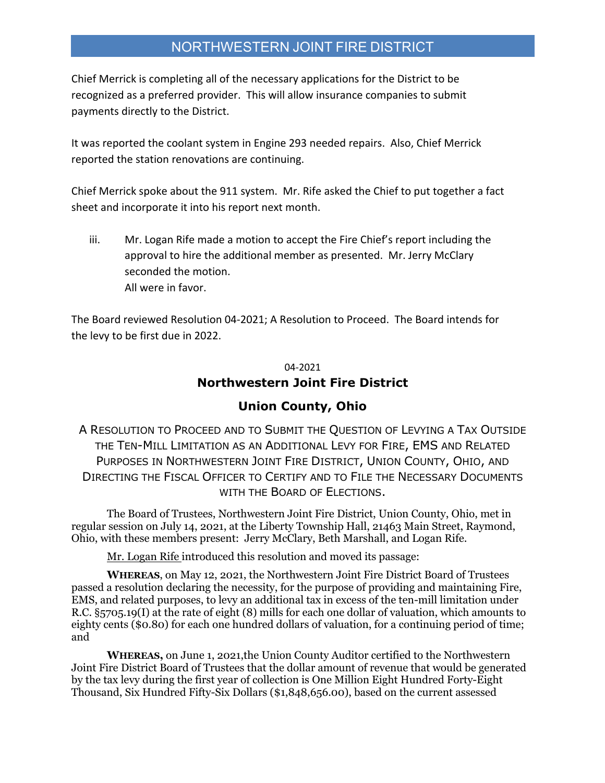Chief Merrick is completing all of the necessary applications for the District to be recognized as a preferred provider. This will allow insurance companies to submit payments directly to the District.

It was reported the coolant system in Engine 293 needed repairs. Also, Chief Merrick reported the station renovations are continuing.

Chief Merrick spoke about the 911 system. Mr. Rife asked the Chief to put together a fact sheet and incorporate it into his report next month.

iii. Mr. Logan Rife made a motion to accept the Fire Chief's report including the approval to hire the additional member as presented. Mr. Jerry McClary seconded the motion. All were in favor.

The Board reviewed Resolution 04-2021; A Resolution to Proceed. The Board intends for the levy to be first due in 2022.

#### 04-2021

#### **Northwestern Joint Fire District**

#### **Union County, Ohio**

A RESOLUTION TO PROCEED AND TO SUBMIT THE QUESTION OF LEVYING A TAX OUTSIDE THE TEN-MILL LIMITATION AS AN ADDITIONAL LEVY FOR FIRE, EMS AND RELATED PURPOSES IN NORTHWESTERN JOINT FIRE DISTRICT, UNION COUNTY, OHIO, AND DIRECTING THE FISCAL OFFICER TO CERTIFY AND TO FILE THE NECESSARY DOCUMENTS WITH THE BOARD OF ELECTIONS.

The Board of Trustees, Northwestern Joint Fire District, Union County, Ohio, met in regular session on July 14, 2021, at the Liberty Township Hall, 21463 Main Street, Raymond, Ohio, with these members present: Jerry McClary, Beth Marshall, and Logan Rife.

Mr. Logan Rife introduced this resolution and moved its passage:

**WHEREAS**, on May 12, 2021, the Northwestern Joint Fire District Board of Trustees passed a resolution declaring the necessity, for the purpose of providing and maintaining Fire, EMS, and related purposes, to levy an additional tax in excess of the ten-mill limitation under R.C. §5705.19(I) at the rate of eight (8) mills for each one dollar of valuation, which amounts to eighty cents (\$0.80) for each one hundred dollars of valuation, for a continuing period of time; and

**WHEREAS,** on June 1, 2021,the Union County Auditor certified to the Northwestern Joint Fire District Board of Trustees that the dollar amount of revenue that would be generated by the tax levy during the first year of collection is One Million Eight Hundred Forty-Eight Thousand, Six Hundred Fifty-Six Dollars (\$1,848,656.00), based on the current assessed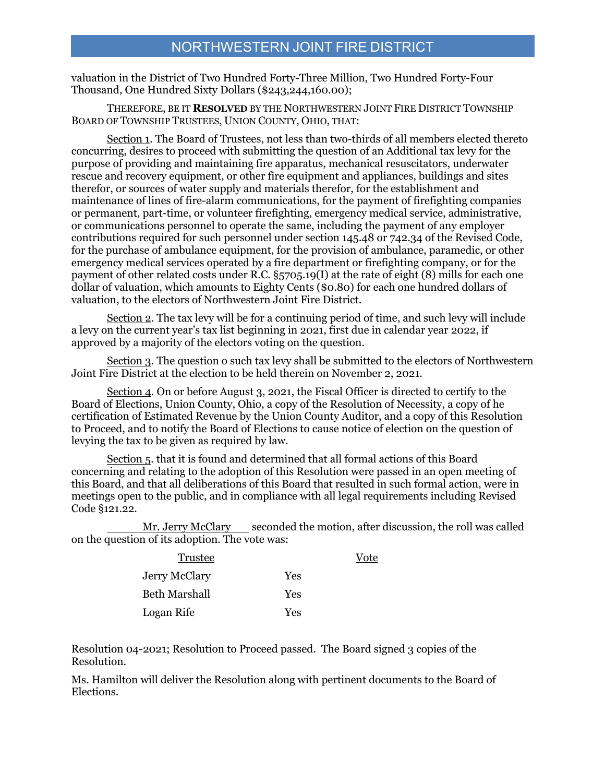valuation in the District of Two Hundred Forty-Three Million, Two Hundred Forty-Four Thousand, One Hundred Sixty Dollars (\$243,244,160.00);

THEREFORE, BE IT **RESOLVED** BY THE NORTHWESTERN JOINT FIRE DISTRICT TOWNSHIP BOARD OF TOWNSHIP TRUSTEES, UNION COUNTY, OHIO, THAT:

Section 1. The Board of Trustees, not less than two-thirds of all members elected thereto concurring, desires to proceed with submitting the question of an Additional tax levy for the purpose of providing and maintaining fire apparatus, mechanical resuscitators, underwater rescue and recovery equipment, or other fire equipment and appliances, buildings and sites therefor, or sources of water supply and materials therefor, for the establishment and maintenance of lines of fire-alarm communications, for the payment of firefighting companies or permanent, part-time, or volunteer firefighting, emergency medical service, administrative, or communications personnel to operate the same, including the payment of any employer contributions required for such personnel under section 145.48 or 742.34 of the Revised Code, for the purchase of ambulance equipment, for the provision of ambulance, paramedic, or other emergency medical services operated by a fire department or firefighting company, or for the payment of other related costs under R.C. §5705.19(I) at the rate of eight (8) mills for each one dollar of valuation, which amounts to Eighty Cents (\$0.80) for each one hundred dollars of valuation, to the electors of Northwestern Joint Fire District.

Section 2. The tax levy will be for a continuing period of time, and such levy will include a levy on the current year's tax list beginning in 2021, first due in calendar year 2022, if approved by a majority of the electors voting on the question.

Section 3. The question o such tax levy shall be submitted to the electors of Northwestern Joint Fire District at the election to be held therein on November 2, 2021.

Section 4. On or before August 3, 2021, the Fiscal Officer is directed to certify to the Board of Elections, Union County, Ohio, a copy of the Resolution of Necessity, a copy of he certification of Estimated Revenue by the Union County Auditor, and a copy of this Resolution to Proceed, and to notify the Board of Elections to cause notice of election on the question of levying the tax to be given as required by law.

Section 5. that it is found and determined that all formal actions of this Board concerning and relating to the adoption of this Resolution were passed in an open meeting of this Board, and that all deliberations of this Board that resulted in such formal action, were in meetings open to the public, and in compliance with all legal requirements including Revised Code §121.22.

Mr. Jerry McClary seconded the motion, after discussion, the roll was called on the question of its adoption. The vote was:

Vote

| Trustee              |     |
|----------------------|-----|
| <b>Jerry McClary</b> | Yes |
| Beth Marshall        | Yes |
| Logan Rife           | Yes |

Resolution 04-2021; Resolution to Proceed passed. The Board signed 3 copies of the Resolution.

Ms. Hamilton will deliver the Resolution along with pertinent documents to the Board of Elections.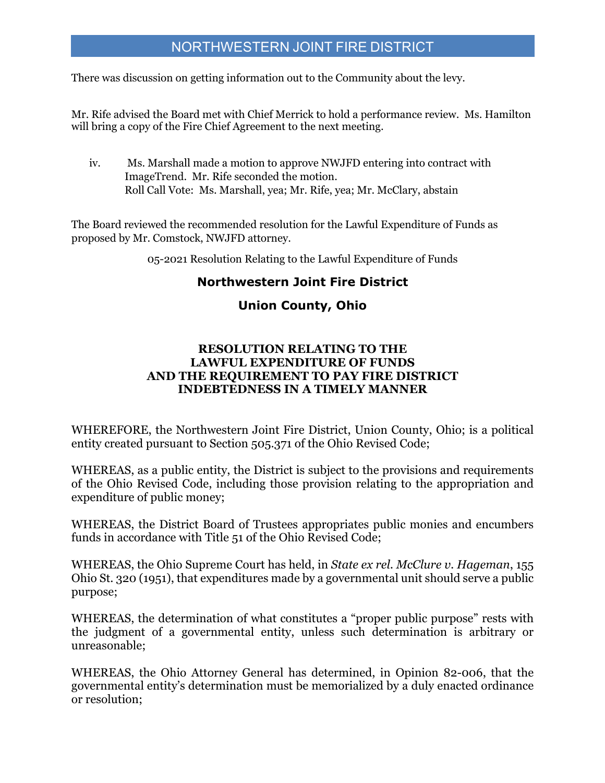There was discussion on getting information out to the Community about the levy.

Mr. Rife advised the Board met with Chief Merrick to hold a performance review. Ms. Hamilton will bring a copy of the Fire Chief Agreement to the next meeting.

iv. Ms. Marshall made a motion to approve NWJFD entering into contract with ImageTrend. Mr. Rife seconded the motion. Roll Call Vote: Ms. Marshall, yea; Mr. Rife, yea; Mr. McClary, abstain

The Board reviewed the recommended resolution for the Lawful Expenditure of Funds as proposed by Mr. Comstock, NWJFD attorney.

05-2021 Resolution Relating to the Lawful Expenditure of Funds

#### **Northwestern Joint Fire District**

#### **Union County, Ohio**

#### **RESOLUTION RELATING TO THE LAWFUL EXPENDITURE OF FUNDS AND THE REQUIREMENT TO PAY FIRE DISTRICT INDEBTEDNESS IN A TIMELY MANNER**

WHEREFORE, the Northwestern Joint Fire District, Union County, Ohio; is a political entity created pursuant to Section 505.371 of the Ohio Revised Code;

WHEREAS, as a public entity, the District is subject to the provisions and requirements of the Ohio Revised Code, including those provision relating to the appropriation and expenditure of public money;

WHEREAS, the District Board of Trustees appropriates public monies and encumbers funds in accordance with Title 51 of the Ohio Revised Code;

WHEREAS, the Ohio Supreme Court has held, in *State ex rel. McClure v. Hageman*, 155 Ohio St. 320 (1951), that expenditures made by a governmental unit should serve a public purpose;

WHEREAS, the determination of what constitutes a "proper public purpose" rests with the judgment of a governmental entity, unless such determination is arbitrary or unreasonable;

WHEREAS, the Ohio Attorney General has determined, in Opinion 82-006, that the governmental entity's determination must be memorialized by a duly enacted ordinance or resolution;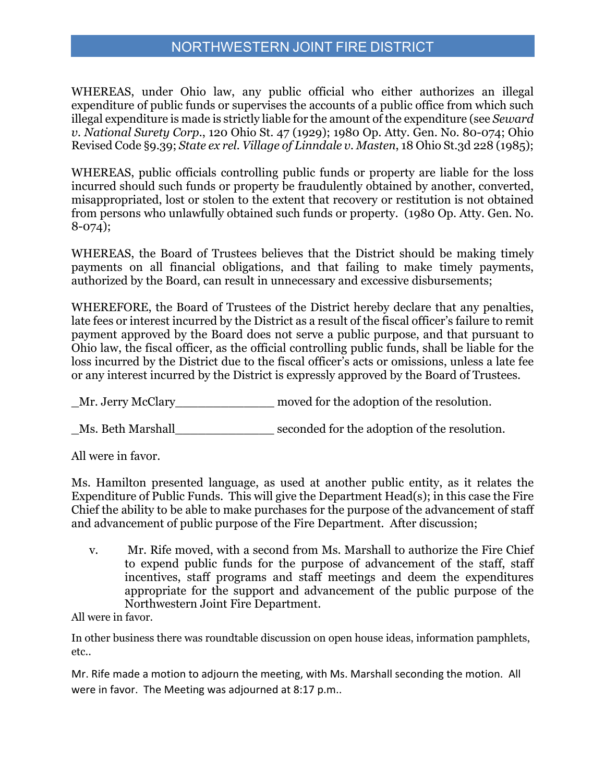WHEREAS, under Ohio law, any public official who either authorizes an illegal expenditure of public funds or supervises the accounts of a public office from which such illegal expenditure is made is strictly liable for the amount of the expenditure (see *Seward v. National Surety Corp.*, 120 Ohio St. 47 (1929); 1980 Op. Atty. Gen. No. 80-074; Ohio Revised Code §9.39; *State ex rel. Village of Linndale v. Masten*, 18 Ohio St.3d 228 (1985);

WHEREAS, public officials controlling public funds or property are liable for the loss incurred should such funds or property be fraudulently obtained by another, converted, misappropriated, lost or stolen to the extent that recovery or restitution is not obtained from persons who unlawfully obtained such funds or property. (1980 Op. Atty. Gen. No. 8-074);

WHEREAS, the Board of Trustees believes that the District should be making timely payments on all financial obligations, and that failing to make timely payments, authorized by the Board, can result in unnecessary and excessive disbursements;

WHEREFORE, the Board of Trustees of the District hereby declare that any penalties, late fees or interest incurred by the District as a result of the fiscal officer's failure to remit payment approved by the Board does not serve a public purpose, and that pursuant to Ohio law, the fiscal officer, as the official controlling public funds, shall be liable for the loss incurred by the District due to the fiscal officer's acts or omissions, unless a late fee or any interest incurred by the District is expressly approved by the Board of Trustees.

Mr. Jerry McClary moved for the adoption of the resolution.

\_Ms. Beth Marshall\_\_\_\_\_\_\_\_\_\_\_\_\_ seconded for the adoption of the resolution.

All were in favor.

Ms. Hamilton presented language, as used at another public entity, as it relates the Expenditure of Public Funds. This will give the Department Head(s); in this case the Fire Chief the ability to be able to make purchases for the purpose of the advancement of staff and advancement of public purpose of the Fire Department. After discussion;

v. Mr. Rife moved, with a second from Ms. Marshall to authorize the Fire Chief to expend public funds for the purpose of advancement of the staff, staff incentives, staff programs and staff meetings and deem the expenditures appropriate for the support and advancement of the public purpose of the Northwestern Joint Fire Department.

All were in favor.

In other business there was roundtable discussion on open house ideas, information pamphlets, etc..

Mr. Rife made a motion to adjourn the meeting, with Ms. Marshall seconding the motion. All were in favor. The Meeting was adjourned at 8:17 p.m..